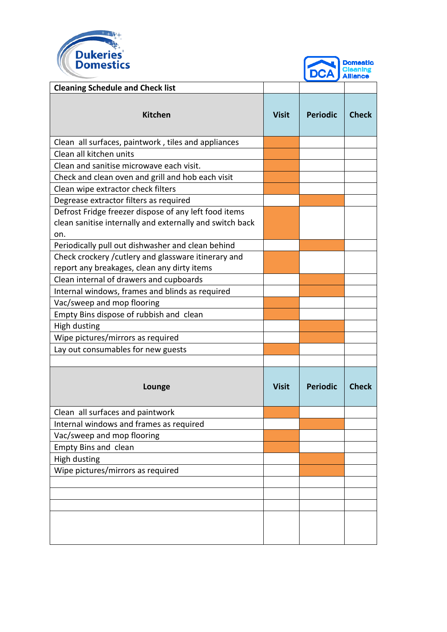



|                                                          |              | $\mathbf{v}$    | <b>Alliance</b> |
|----------------------------------------------------------|--------------|-----------------|-----------------|
| <b>Cleaning Schedule and Check list</b>                  |              |                 |                 |
| <b>Kitchen</b>                                           | <b>Visit</b> | <b>Periodic</b> | <b>Check</b>    |
| Clean all surfaces, paintwork, tiles and appliances      |              |                 |                 |
| Clean all kitchen units                                  |              |                 |                 |
| Clean and sanitise microwave each visit.                 |              |                 |                 |
| Check and clean oven and grill and hob each visit        |              |                 |                 |
| Clean wipe extractor check filters                       |              |                 |                 |
| Degrease extractor filters as required                   |              |                 |                 |
| Defrost Fridge freezer dispose of any left food items    |              |                 |                 |
| clean sanitise internally and externally and switch back |              |                 |                 |
| on.                                                      |              |                 |                 |
| Periodically pull out dishwasher and clean behind        |              |                 |                 |
| Check crockery / cutlery and glassware itinerary and     |              |                 |                 |
| report any breakages, clean any dirty items              |              |                 |                 |
| Clean internal of drawers and cupboards                  |              |                 |                 |
| Internal windows, frames and blinds as required          |              |                 |                 |
| Vac/sweep and mop flooring                               |              |                 |                 |
| Empty Bins dispose of rubbish and clean                  |              |                 |                 |
| High dusting                                             |              |                 |                 |
| Wipe pictures/mirrors as required                        |              |                 |                 |
| Lay out consumables for new guests                       |              |                 |                 |
|                                                          |              |                 |                 |
| Lounge                                                   | <b>Visit</b> | <b>Periodic</b> | <b>Check</b>    |
| Clean all surfaces and paintwork                         |              |                 |                 |
| Internal windows and frames as required                  |              |                 |                 |
| Vac/sweep and mop flooring                               |              |                 |                 |
| Empty Bins and clean                                     |              |                 |                 |
| <b>High dusting</b>                                      |              |                 |                 |
| Wipe pictures/mirrors as required                        |              |                 |                 |
|                                                          |              |                 |                 |
|                                                          |              |                 |                 |
|                                                          |              |                 |                 |
|                                                          |              |                 |                 |
|                                                          |              |                 |                 |
|                                                          |              |                 |                 |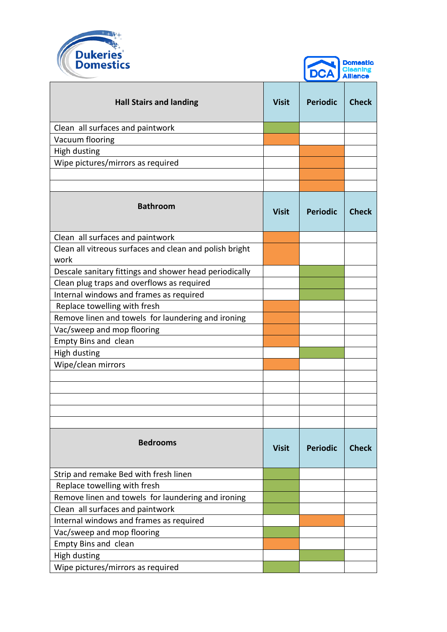



|                                                                 |              | $\blacktriangleright$ $\blacktriangleright$ $\blacktriangleright$ $\blacktriangleright$ $\blacktriangleright$ $\blacktriangleright$ $\blacktriangleright$ $\blacktriangleright$ $\dashv$ $\dashv$ $\dashv$ |              |
|-----------------------------------------------------------------|--------------|------------------------------------------------------------------------------------------------------------------------------------------------------------------------------------------------------------|--------------|
| <b>Hall Stairs and landing</b>                                  | <b>Visit</b> | <b>Periodic</b>                                                                                                                                                                                            | <b>Check</b> |
| Clean all surfaces and paintwork                                |              |                                                                                                                                                                                                            |              |
| Vacuum flooring                                                 |              |                                                                                                                                                                                                            |              |
| <b>High dusting</b>                                             |              |                                                                                                                                                                                                            |              |
| Wipe pictures/mirrors as required                               |              |                                                                                                                                                                                                            |              |
|                                                                 |              |                                                                                                                                                                                                            |              |
|                                                                 |              |                                                                                                                                                                                                            |              |
| <b>Bathroom</b>                                                 | <b>Visit</b> | <b>Periodic</b>                                                                                                                                                                                            | <b>Check</b> |
| Clean all surfaces and paintwork                                |              |                                                                                                                                                                                                            |              |
| Clean all vitreous surfaces and clean and polish bright<br>work |              |                                                                                                                                                                                                            |              |
| Descale sanitary fittings and shower head periodically          |              |                                                                                                                                                                                                            |              |
| Clean plug traps and overflows as required                      |              |                                                                                                                                                                                                            |              |
| Internal windows and frames as required                         |              |                                                                                                                                                                                                            |              |
| Replace towelling with fresh                                    |              |                                                                                                                                                                                                            |              |
| Remove linen and towels for laundering and ironing              |              |                                                                                                                                                                                                            |              |
| Vac/sweep and mop flooring                                      |              |                                                                                                                                                                                                            |              |
| Empty Bins and clean                                            |              |                                                                                                                                                                                                            |              |
| High dusting                                                    |              |                                                                                                                                                                                                            |              |
| Wipe/clean mirrors                                              |              |                                                                                                                                                                                                            |              |
|                                                                 |              |                                                                                                                                                                                                            |              |
|                                                                 |              |                                                                                                                                                                                                            |              |
|                                                                 |              |                                                                                                                                                                                                            |              |
|                                                                 |              |                                                                                                                                                                                                            |              |
|                                                                 |              |                                                                                                                                                                                                            |              |
| <b>Bedrooms</b>                                                 | <b>Visit</b> | <b>Periodic</b>                                                                                                                                                                                            | <b>Check</b> |
| Strip and remake Bed with fresh linen                           |              |                                                                                                                                                                                                            |              |
| Replace towelling with fresh                                    |              |                                                                                                                                                                                                            |              |
| Remove linen and towels for laundering and ironing              |              |                                                                                                                                                                                                            |              |
| Clean all surfaces and paintwork                                |              |                                                                                                                                                                                                            |              |
| Internal windows and frames as required                         |              |                                                                                                                                                                                                            |              |
| Vac/sweep and mop flooring                                      |              |                                                                                                                                                                                                            |              |
| <b>Empty Bins and clean</b>                                     |              |                                                                                                                                                                                                            |              |
| High dusting                                                    |              |                                                                                                                                                                                                            |              |
| Wipe pictures/mirrors as required                               |              |                                                                                                                                                                                                            |              |